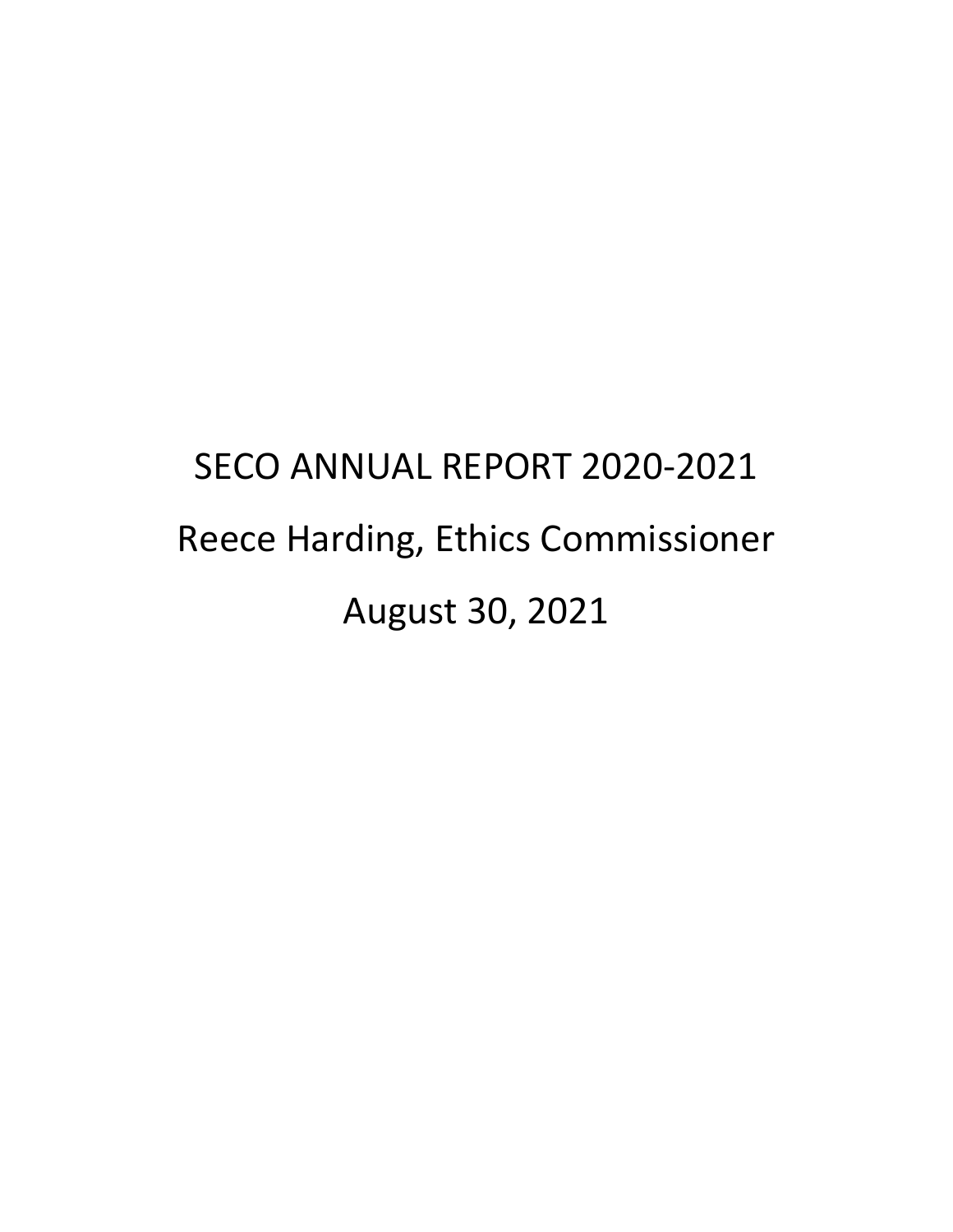# SECO ANNUAL REPORT 2020-2021 Reece Harding, Ethics Commissioner August 30, 2021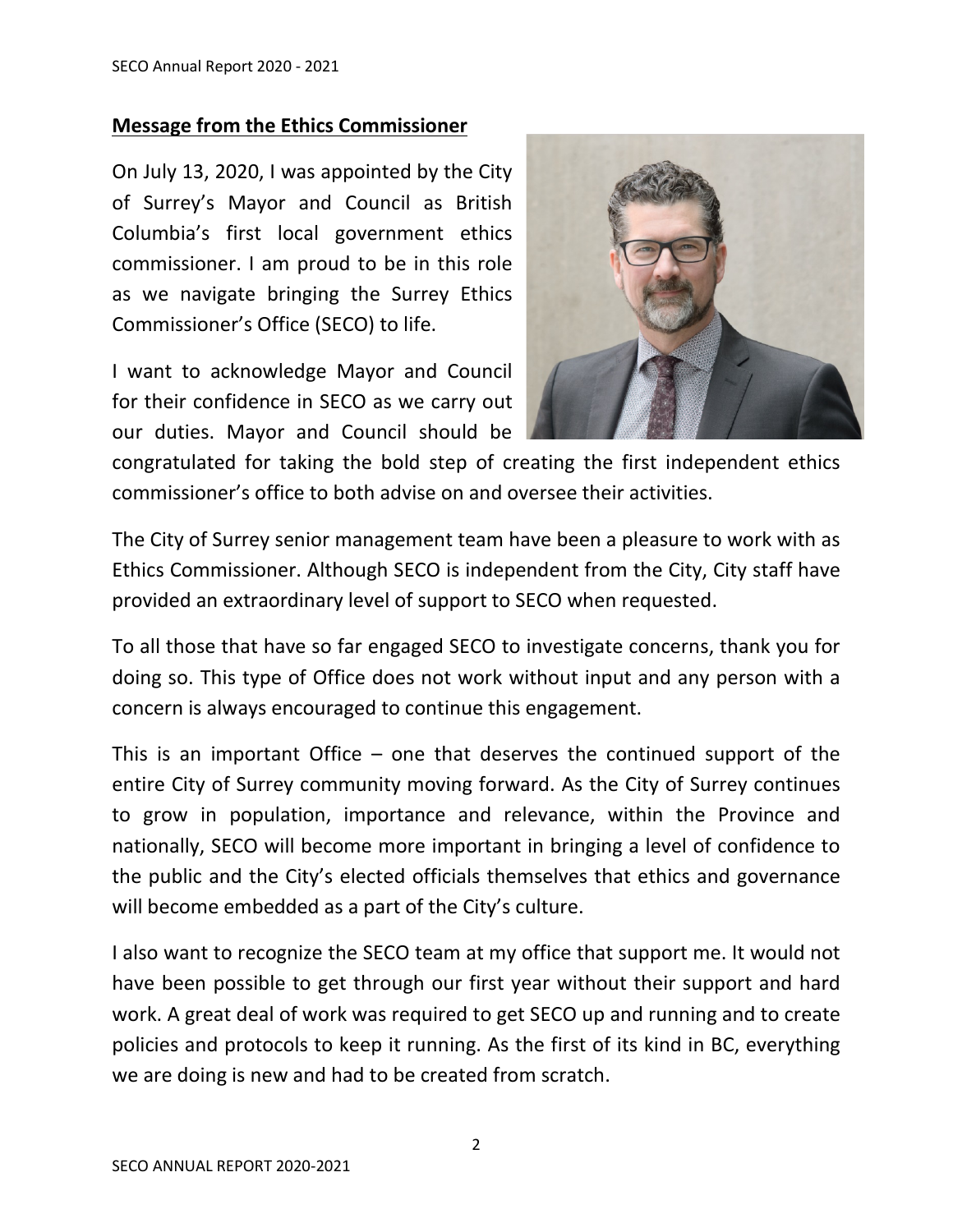#### **Message from the Ethics Commissioner**

On July 13, 2020, I was appointed by the City of Surrey's Mayor and Council as British Columbia's first local government ethics commissioner. I am proud to be in this role as we navigate bringing the Surrey Ethics Commissioner's Office (SECO) to life.

I want to acknowledge Mayor and Council for their confidence in SECO as we carry out our duties. Mayor and Council should be



congratulated for taking the bold step of creating the first independent ethics commissioner's office to both advise on and oversee their activities.

The City of Surrey senior management team have been a pleasure to work with as Ethics Commissioner. Although SECO is independent from the City, City staff have provided an extraordinary level of support to SECO when requested.

To all those that have so far engaged SECO to investigate concerns, thank you for doing so. This type of Office does not work without input and any person with a concern is always encouraged to continue this engagement.

This is an important Office  $-$  one that deserves the continued support of the entire City of Surrey community moving forward. As the City of Surrey continues to grow in population, importance and relevance, within the Province and nationally, SECO will become more important in bringing a level of confidence to the public and the City's elected officials themselves that ethics and governance will become embedded as a part of the City's culture.

I also want to recognize the SECO team at my office that support me. It would not have been possible to get through our first year without their support and hard work. A great deal of work was required to get SECO up and running and to create policies and protocols to keep it running. As the first of its kind in BC, everything we are doing is new and had to be created from scratch.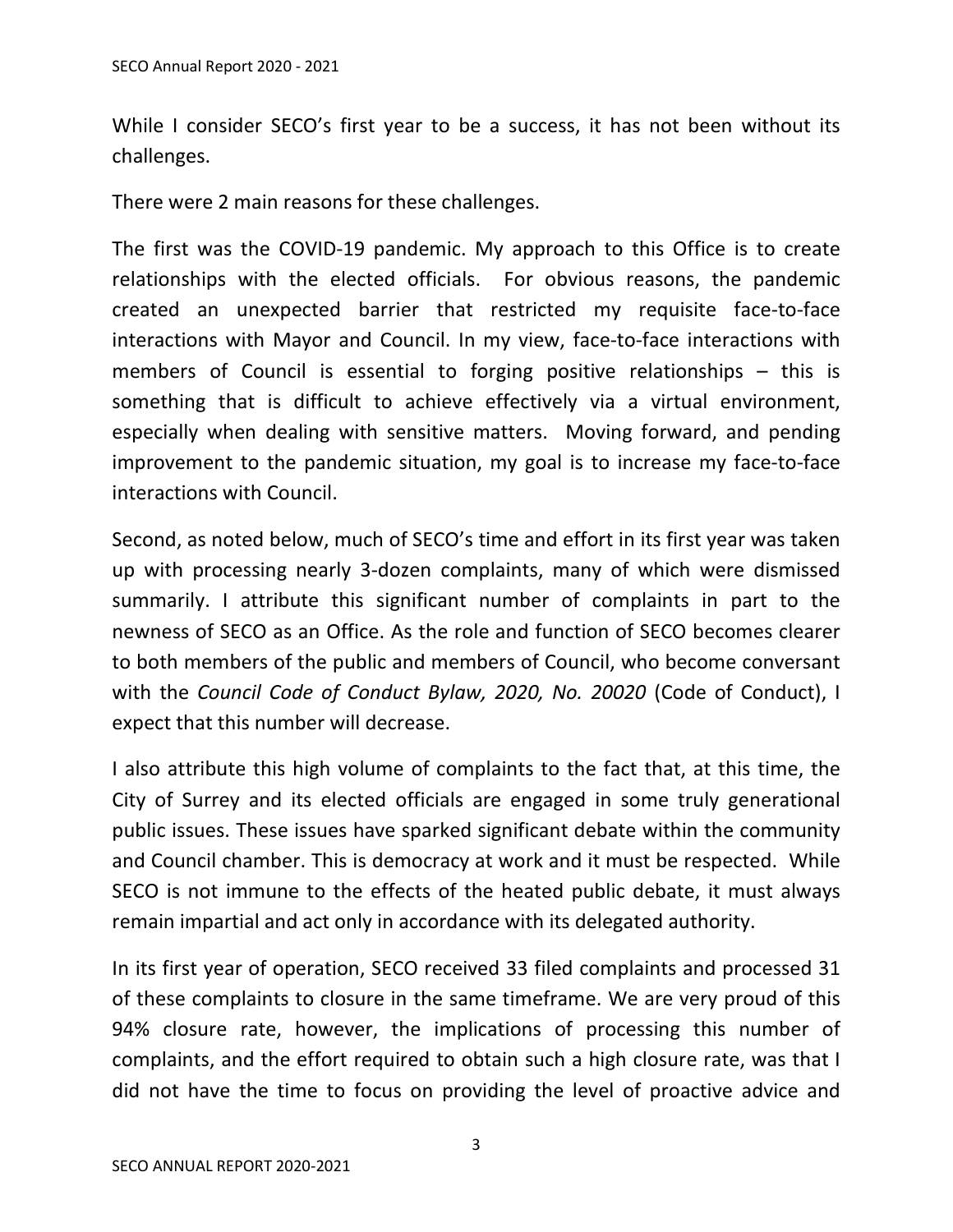While I consider SECO's first year to be a success, it has not been without its challenges.

There were 2 main reasons for these challenges.

The first was the COVID-19 pandemic. My approach to this Office is to create relationships with the elected officials. For obvious reasons, the pandemic created an unexpected barrier that restricted my requisite face-to-face interactions with Mayor and Council. In my view, face-to-face interactions with members of Council is essential to forging positive relationships – this is something that is difficult to achieve effectively via a virtual environment, especially when dealing with sensitive matters. Moving forward, and pending improvement to the pandemic situation, my goal is to increase my face-to-face interactions with Council.

Second, as noted below, much of SECO's time and effort in its first year was taken up with processing nearly 3-dozen complaints, many of which were dismissed summarily. I attribute this significant number of complaints in part to the newness of SECO as an Office. As the role and function of SECO becomes clearer to both members of the public and members of Council, who become conversant with the *Council Code of Conduct Bylaw, 2020, No. 20020* (Code of Conduct), I expect that this number will decrease.

I also attribute this high volume of complaints to the fact that, at this time, the City of Surrey and its elected officials are engaged in some truly generational public issues. These issues have sparked significant debate within the community and Council chamber. This is democracy at work and it must be respected. While SECO is not immune to the effects of the heated public debate, it must always remain impartial and act only in accordance with its delegated authority.

In its first year of operation, SECO received 33 filed complaints and processed 31 of these complaints to closure in the same timeframe. We are very proud of this 94% closure rate, however, the implications of processing this number of complaints, and the effort required to obtain such a high closure rate, was that I did not have the time to focus on providing the level of proactive advice and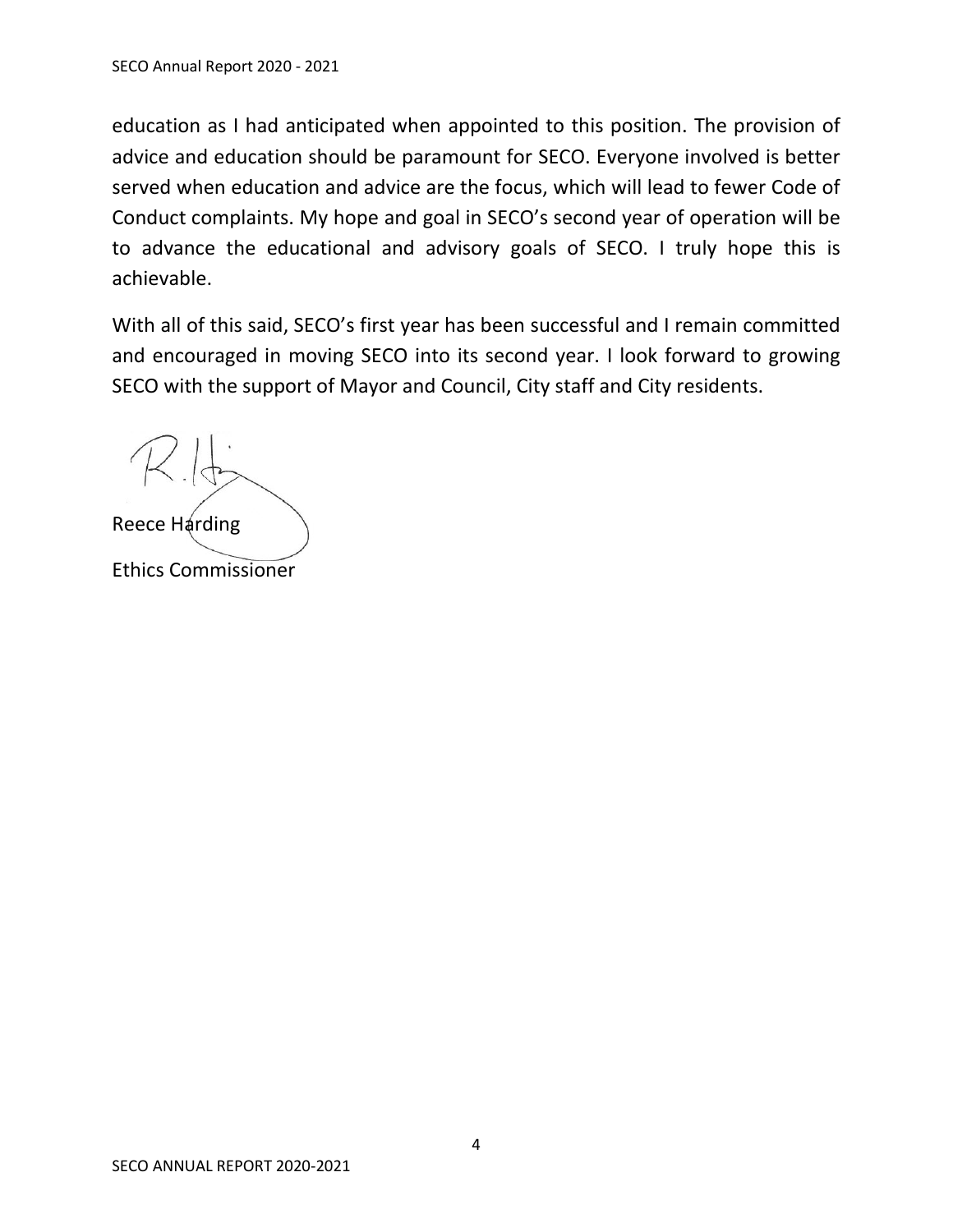education as I had anticipated when appointed to this position. The provision of advice and education should be paramount for SECO. Everyone involved is better served when education and advice are the focus, which will lead to fewer Code of Conduct complaints. My hope and goal in SECO's second year of operation will be to advance the educational and advisory goals of SECO. I truly hope this is achievable.

With all of this said, SECO's first year has been successful and I remain committed and encouraged in moving SECO into its second year. I look forward to growing SECO with the support of Mayor and Council, City staff and City residents.

Reece Harding Ethics Commissioner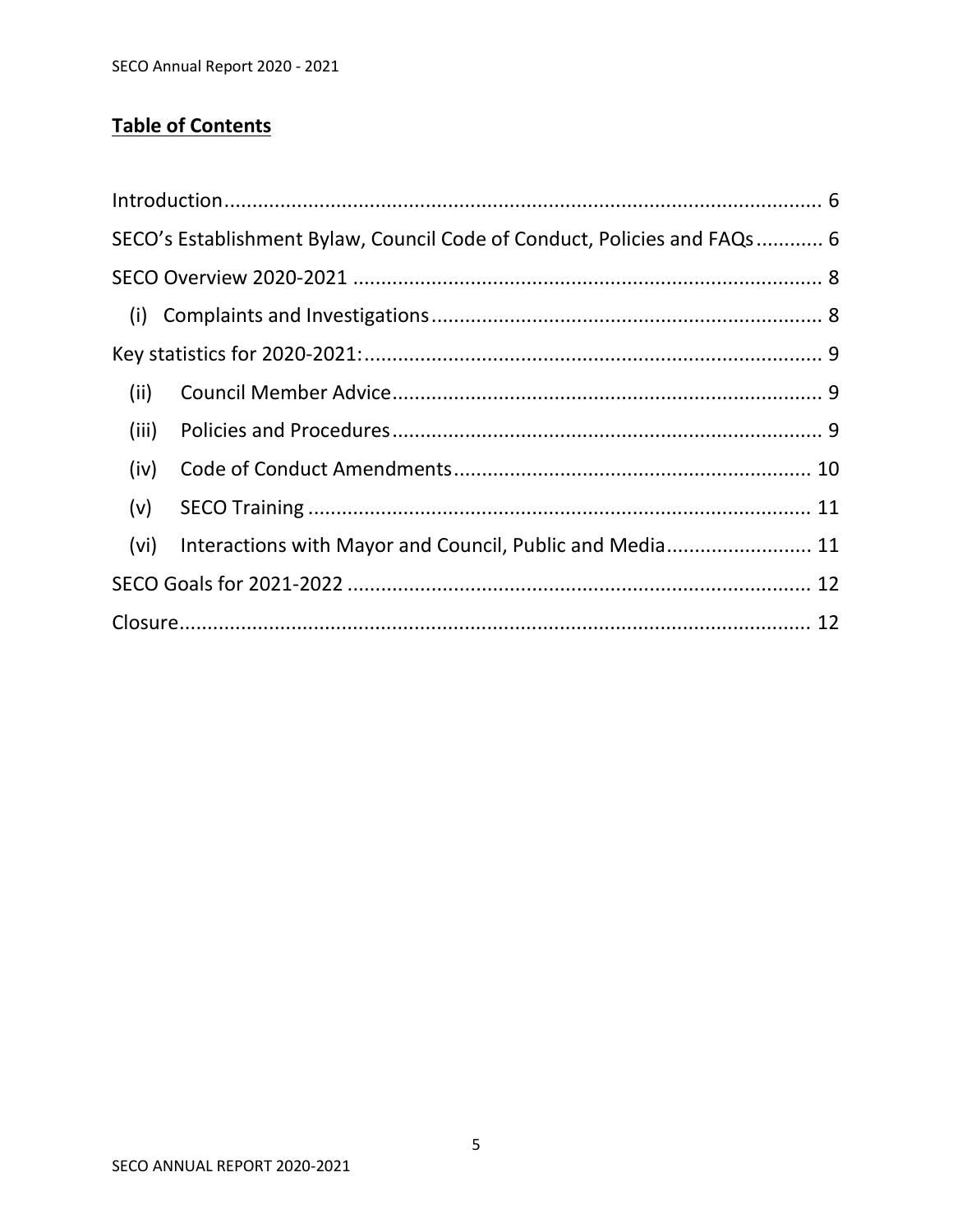# **Table of Contents**

|       | SECO's Establishment Bylaw, Council Code of Conduct, Policies and FAQs 6 |  |
|-------|--------------------------------------------------------------------------|--|
|       |                                                                          |  |
|       |                                                                          |  |
|       |                                                                          |  |
| (ii)  |                                                                          |  |
| (iii) |                                                                          |  |
| (iv)  |                                                                          |  |
| (v)   |                                                                          |  |
| (vi)  | Interactions with Mayor and Council, Public and Media 11                 |  |
|       |                                                                          |  |
|       |                                                                          |  |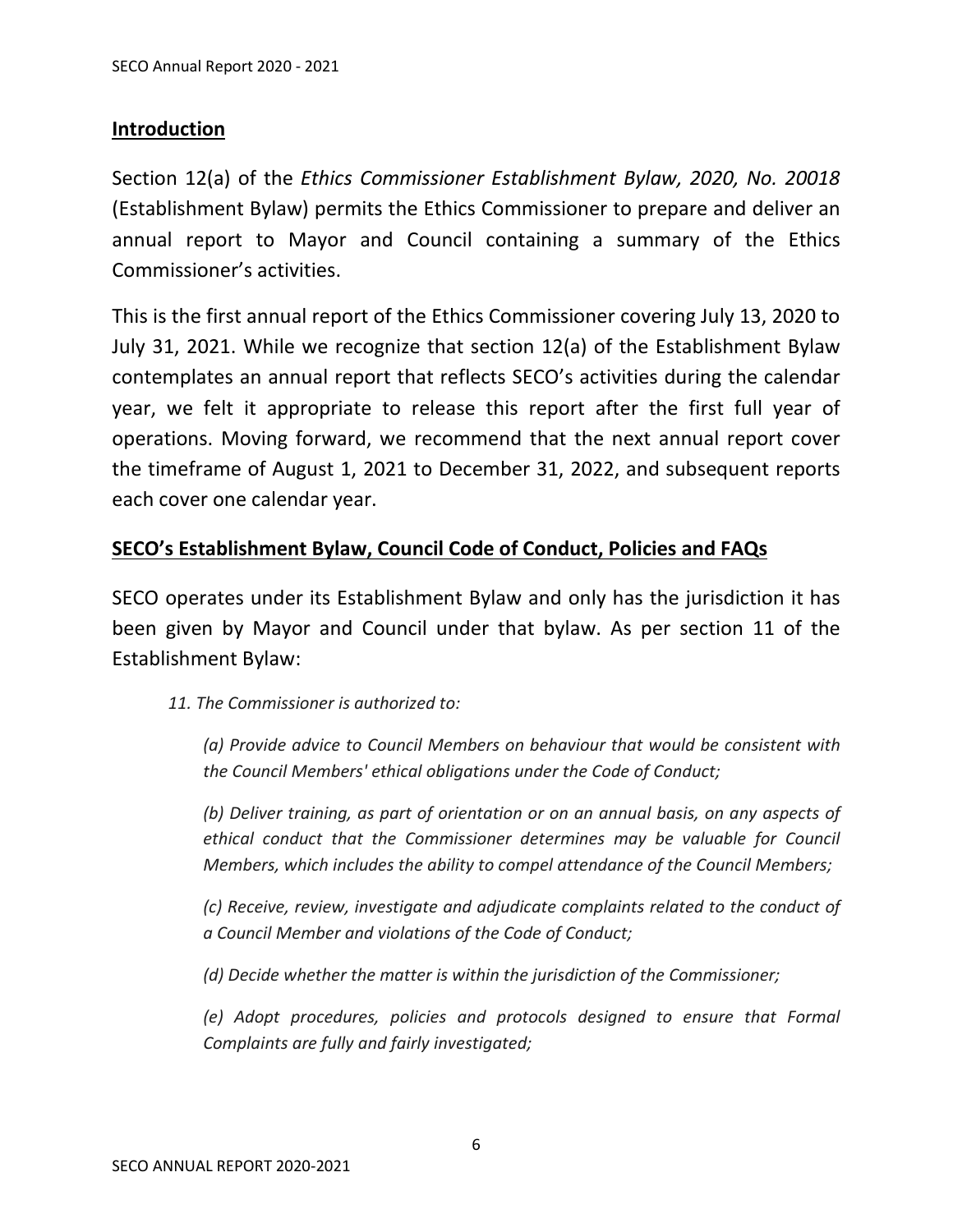#### <span id="page-5-0"></span>**Introduction**

Section 12(a) of the *Ethics Commissioner Establishment Bylaw, 2020, No. 20018* (Establishment Bylaw) permits the Ethics Commissioner to prepare and deliver an annual report to Mayor and Council containing a summary of the Ethics Commissioner's activities.

This is the first annual report of the Ethics Commissioner covering July 13, 2020 to July 31, 2021. While we recognize that section 12(a) of the Establishment Bylaw contemplates an annual report that reflects SECO's activities during the calendar year, we felt it appropriate to release this report after the first full year of operations. Moving forward, we recommend that the next annual report cover the timeframe of August 1, 2021 to December 31, 2022, and subsequent reports each cover one calendar year.

#### <span id="page-5-1"></span>**SECO's Establishment Bylaw, Council Code of Conduct, Policies and FAQs**

SECO operates under its Establishment Bylaw and only has the jurisdiction it has been given by Mayor and Council under that bylaw. As per section 11 of the Establishment Bylaw:

*11. The Commissioner is authorized to:*

*(a) Provide advice to Council Members on behaviour that would be consistent with the Council Members' ethical obligations under the Code of Conduct;*

*(b) Deliver training, as part of orientation or on an annual basis, on any aspects of ethical conduct that the Commissioner determines may be valuable for Council Members, which includes the ability to compel attendance of the Council Members;*

*(c) Receive, review, investigate and adjudicate complaints related to the conduct of a Council Member and violations of the Code of Conduct;*

*(d) Decide whether the matter is within the jurisdiction of the Commissioner;*

*(e) Adopt procedures, policies and protocols designed to ensure that Formal Complaints are fully and fairly investigated;*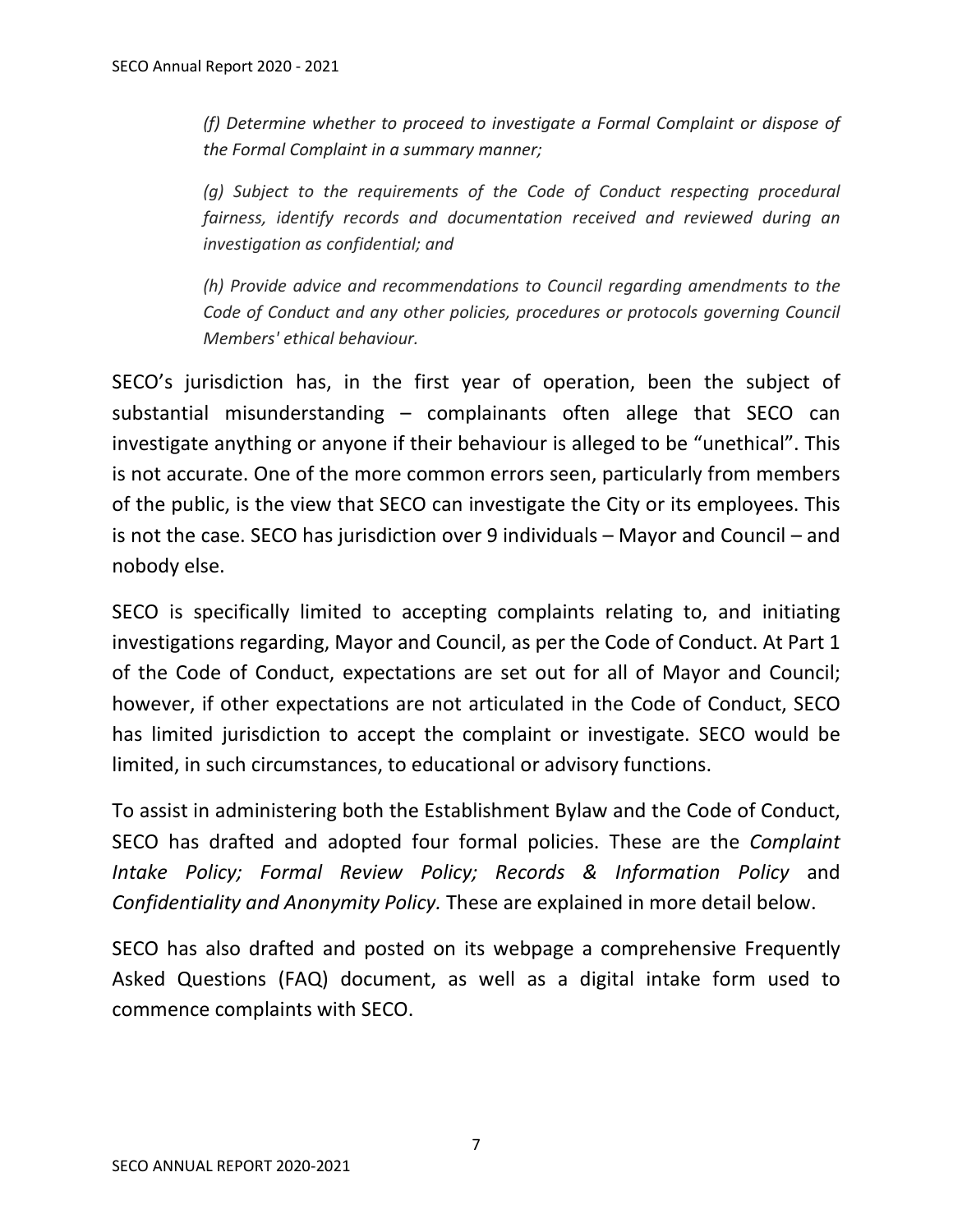*(f) Determine whether to proceed to investigate a Formal Complaint or dispose of the Formal Complaint in a summary manner;*

*(g) Subject to the requirements of the Code of Conduct respecting procedural fairness, identify records and documentation received and reviewed during an investigation as confidential; and*

*(h) Provide advice and recommendations to Council regarding amendments to the Code of Conduct and any other policies, procedures or protocols governing Council Members' ethical behaviour.*

SECO's jurisdiction has, in the first year of operation, been the subject of substantial misunderstanding – complainants often allege that SECO can investigate anything or anyone if their behaviour is alleged to be "unethical". This is not accurate. One of the more common errors seen, particularly from members of the public, is the view that SECO can investigate the City or its employees. This is not the case. SECO has jurisdiction over 9 individuals – Mayor and Council – and nobody else.

SECO is specifically limited to accepting complaints relating to, and initiating investigations regarding, Mayor and Council, as per the Code of Conduct. At Part 1 of the Code of Conduct, expectations are set out for all of Mayor and Council; however, if other expectations are not articulated in the Code of Conduct, SECO has limited jurisdiction to accept the complaint or investigate. SECO would be limited, in such circumstances, to educational or advisory functions.

To assist in administering both the Establishment Bylaw and the Code of Conduct, SECO has drafted and adopted four formal policies. These are the *Complaint Intake Policy; Formal Review Policy; Records & Information Policy* and *Confidentiality and Anonymity Policy.* These are explained in more detail below.

SECO has also drafted and posted on its webpage a comprehensive Frequently Asked Questions (FAQ) document, as well as a digital intake form used to commence complaints with SECO.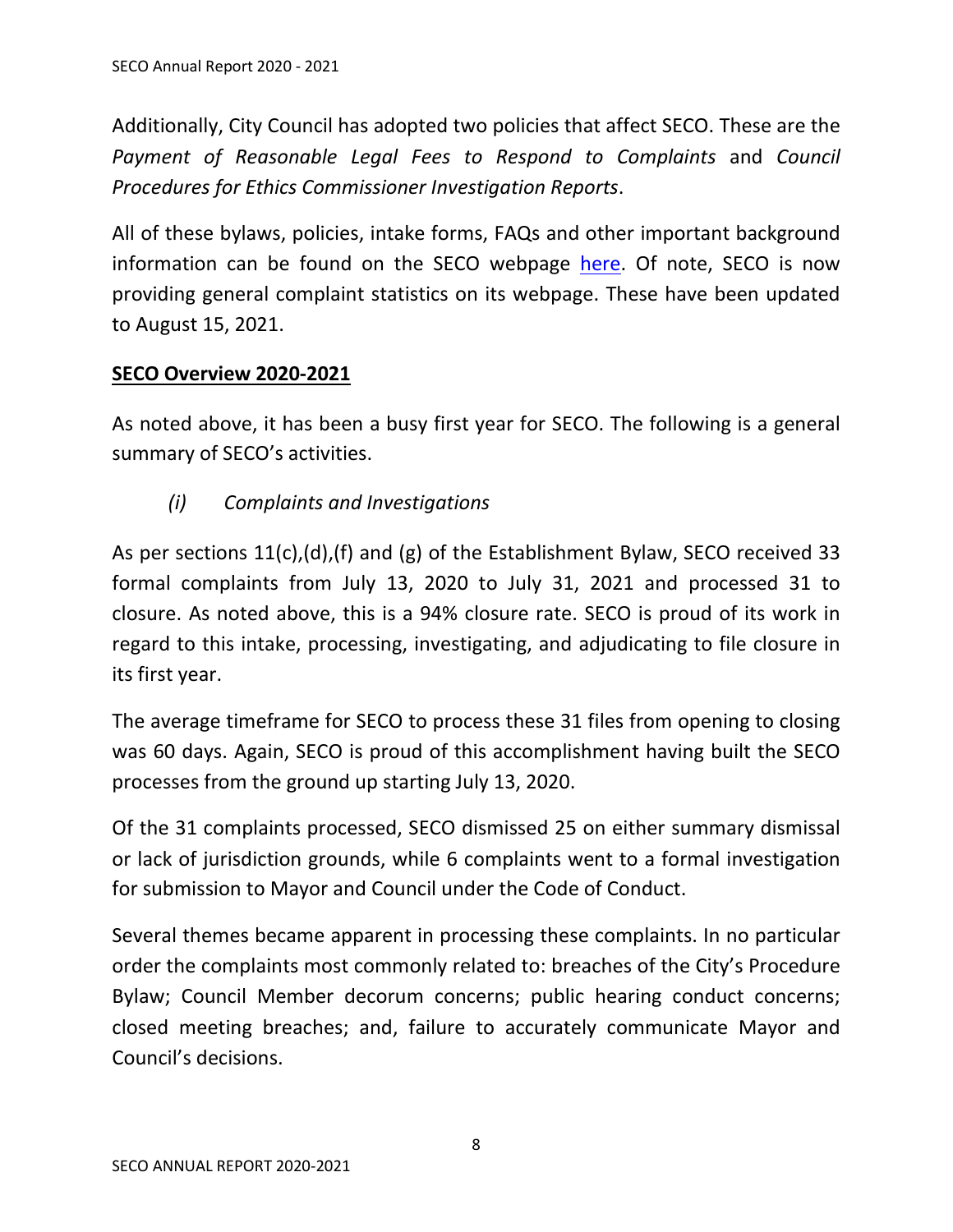Additionally, City Council has adopted two policies that affect SECO. These are the *Payment of Reasonable Legal Fees to Respond to Complaints* and *Council Procedures for Ethics Commissioner Investigation Reports*.

All of these bylaws, policies, intake forms, FAQs and other important background information can be found on the SECO webpage [here.](https://www.surrey.ca/city-government/mayor-council/surrey-ethics-commissioner-office) Of note, SECO is now providing general complaint statistics on its webpage. These have been updated to August 15, 2021.

## <span id="page-7-0"></span>**SECO Overview 2020-2021**

As noted above, it has been a busy first year for SECO. The following is a general summary of SECO's activities.

*(i) Complaints and Investigations*

<span id="page-7-1"></span>As per sections 11(c),(d),(f) and (g) of the Establishment Bylaw, SECO received 33 formal complaints from July 13, 2020 to July 31, 2021 and processed 31 to closure. As noted above, this is a 94% closure rate. SECO is proud of its work in regard to this intake, processing, investigating, and adjudicating to file closure in its first year.

The average timeframe for SECO to process these 31 files from opening to closing was 60 days. Again, SECO is proud of this accomplishment having built the SECO processes from the ground up starting July 13, 2020.

Of the 31 complaints processed, SECO dismissed 25 on either summary dismissal or lack of jurisdiction grounds, while 6 complaints went to a formal investigation for submission to Mayor and Council under the Code of Conduct.

Several themes became apparent in processing these complaints. In no particular order the complaints most commonly related to: breaches of the City's Procedure Bylaw; Council Member decorum concerns; public hearing conduct concerns; closed meeting breaches; and, failure to accurately communicate Mayor and Council's decisions.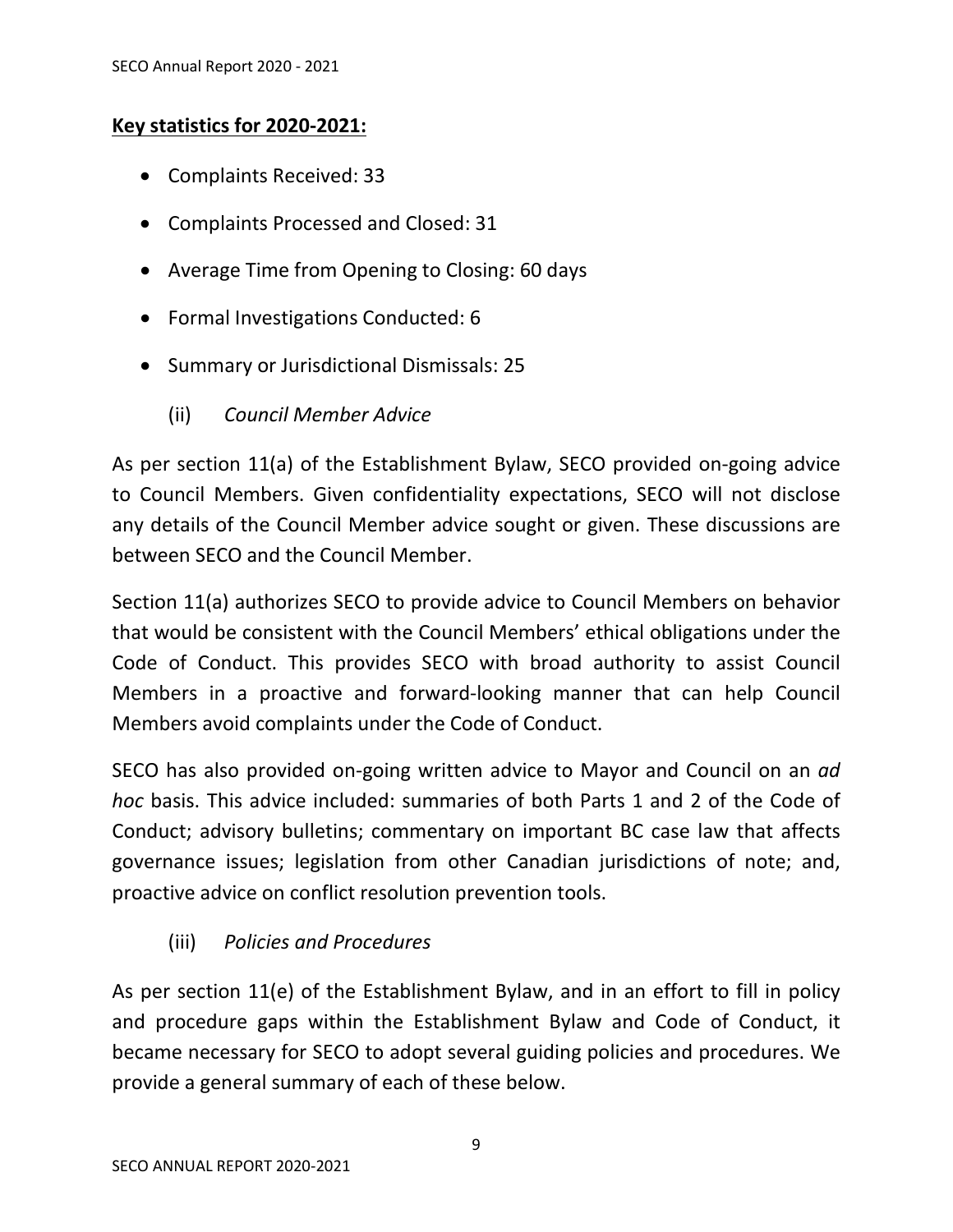## <span id="page-8-0"></span>**Key statistics for 2020-2021:**

- Complaints Received: 33
- Complaints Processed and Closed: 31
- Average Time from Opening to Closing: 60 days
- Formal Investigations Conducted: 6
- <span id="page-8-1"></span>• Summary or Jurisdictional Dismissals: 25
	- (ii) *Council Member Advice*

As per section 11(a) of the Establishment Bylaw, SECO provided on-going advice to Council Members. Given confidentiality expectations, SECO will not disclose any details of the Council Member advice sought or given. These discussions are between SECO and the Council Member.

Section 11(a) authorizes SECO to provide advice to Council Members on behavior that would be consistent with the Council Members' ethical obligations under the Code of Conduct. This provides SECO with broad authority to assist Council Members in a proactive and forward-looking manner that can help Council Members avoid complaints under the Code of Conduct.

SECO has also provided on-going written advice to Mayor and Council on an *ad hoc* basis. This advice included: summaries of both Parts 1 and 2 of the Code of Conduct; advisory bulletins; commentary on important BC case law that affects governance issues; legislation from other Canadian jurisdictions of note; and, proactive advice on conflict resolution prevention tools.

# (iii) *Policies and Procedures*

<span id="page-8-2"></span>As per section 11(e) of the Establishment Bylaw, and in an effort to fill in policy and procedure gaps within the Establishment Bylaw and Code of Conduct, it became necessary for SECO to adopt several guiding policies and procedures. We provide a general summary of each of these below.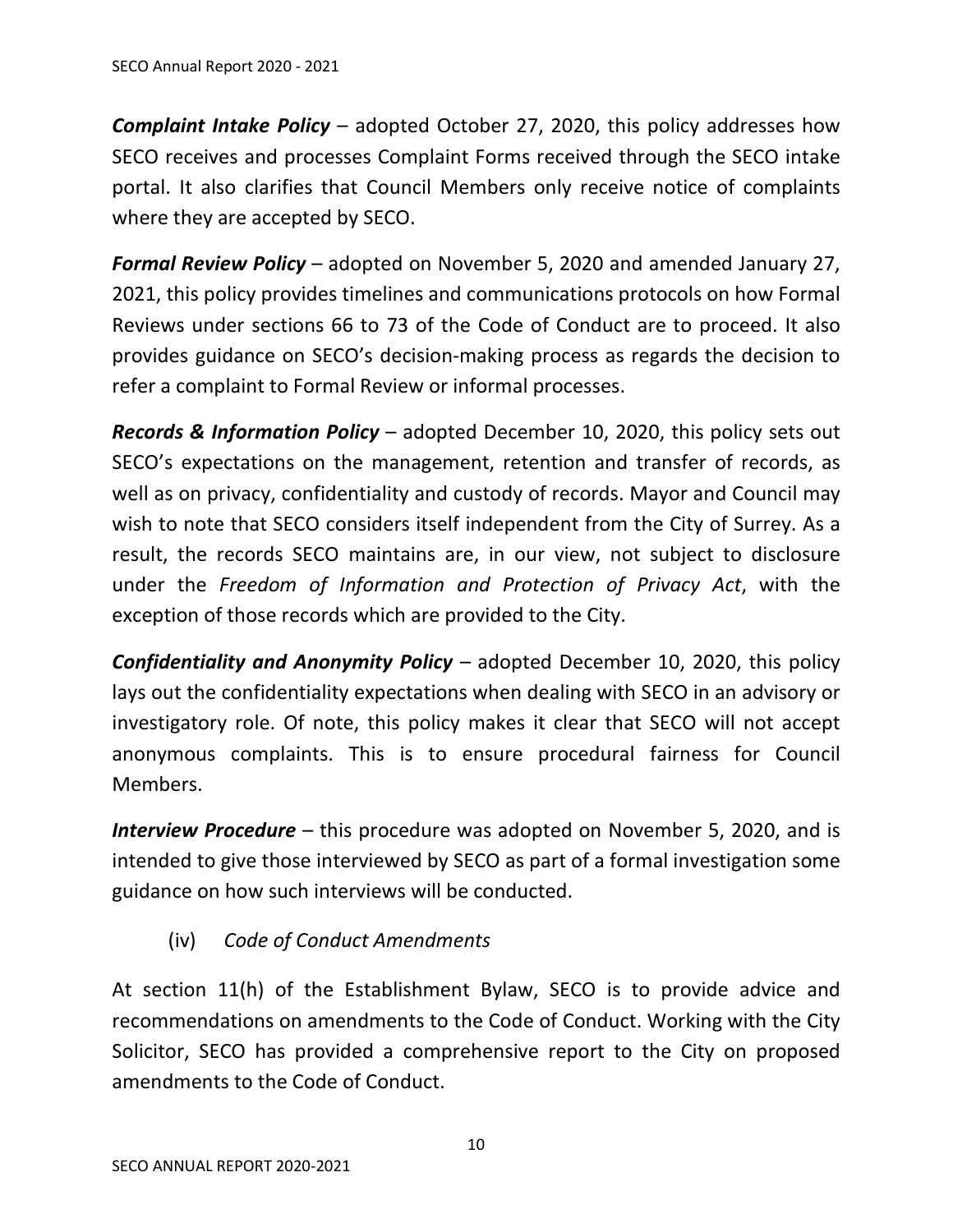*Complaint Intake Policy* – adopted October 27, 2020, this policy addresses how SECO receives and processes Complaint Forms received through the SECO intake portal. It also clarifies that Council Members only receive notice of complaints where they are accepted by SECO.

*Formal Review Policy* – adopted on November 5, 2020 and amended January 27, 2021, this policy provides timelines and communications protocols on how Formal Reviews under sections 66 to 73 of the Code of Conduct are to proceed. It also provides guidance on SECO's decision-making process as regards the decision to refer a complaint to Formal Review or informal processes.

*Records & Information Policy* – adopted December 10, 2020, this policy sets out SECO's expectations on the management, retention and transfer of records, as well as on privacy, confidentiality and custody of records. Mayor and Council may wish to note that SECO considers itself independent from the City of Surrey. As a result, the records SECO maintains are, in our view, not subject to disclosure under the *Freedom of Information and Protection of Privacy Act*, with the exception of those records which are provided to the City.

*Confidentiality and Anonymity Policy* – adopted December 10, 2020, this policy lays out the confidentiality expectations when dealing with SECO in an advisory or investigatory role. Of note, this policy makes it clear that SECO will not accept anonymous complaints. This is to ensure procedural fairness for Council Members.

*Interview Procedure* – this procedure was adopted on November 5, 2020, and is intended to give those interviewed by SECO as part of a formal investigation some guidance on how such interviews will be conducted.

# (iv) *Code of Conduct Amendments*

<span id="page-9-0"></span>At section 11(h) of the Establishment Bylaw, SECO is to provide advice and recommendations on amendments to the Code of Conduct. Working with the City Solicitor, SECO has provided a comprehensive report to the City on proposed amendments to the Code of Conduct.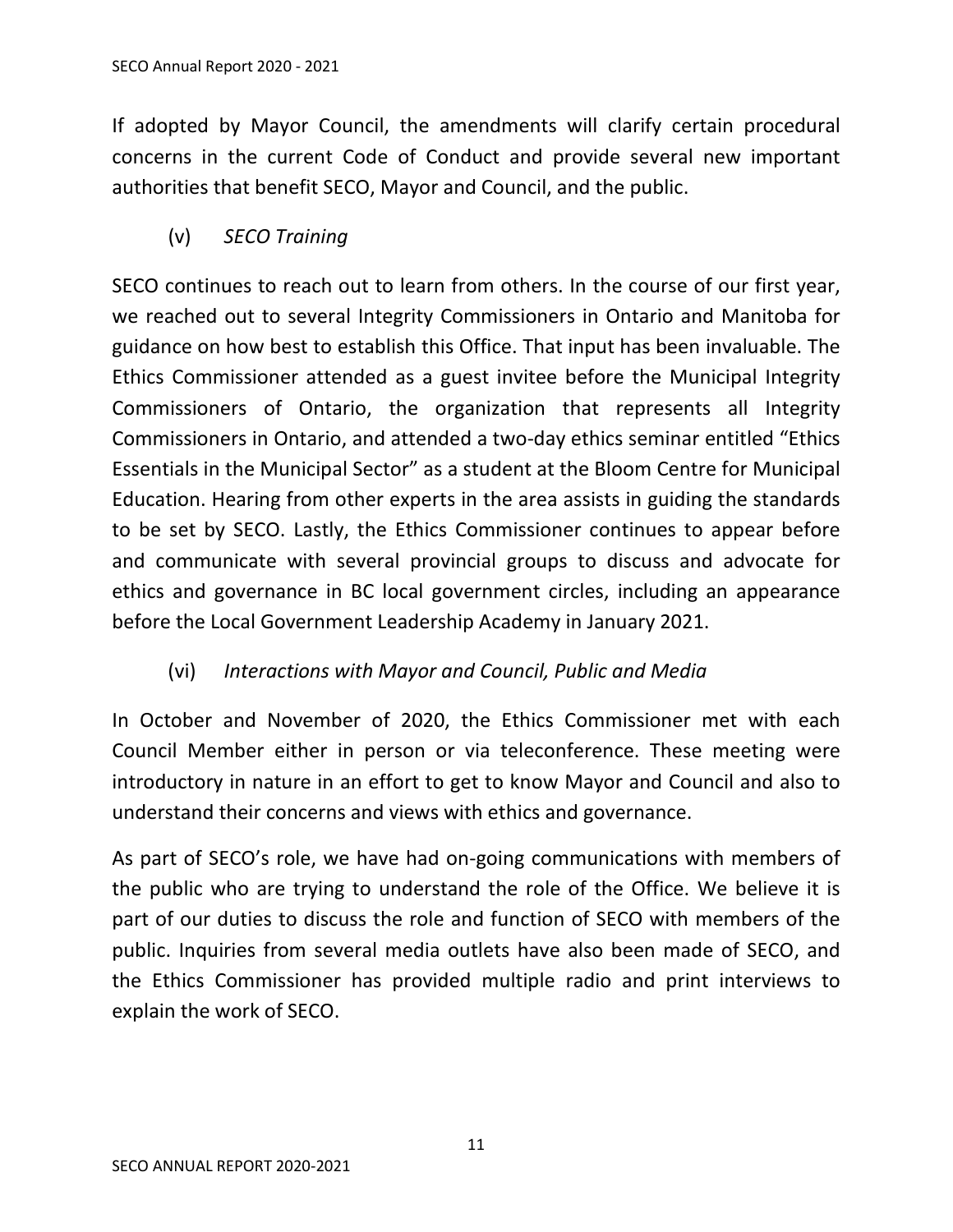If adopted by Mayor Council, the amendments will clarify certain procedural concerns in the current Code of Conduct and provide several new important authorities that benefit SECO, Mayor and Council, and the public.

(v) *SECO Training*

<span id="page-10-0"></span>SECO continues to reach out to learn from others. In the course of our first year, we reached out to several Integrity Commissioners in Ontario and Manitoba for guidance on how best to establish this Office. That input has been invaluable. The Ethics Commissioner attended as a guest invitee before the Municipal Integrity Commissioners of Ontario, the organization that represents all Integrity Commissioners in Ontario, and attended a two-day ethics seminar entitled "Ethics Essentials in the Municipal Sector" as a student at the Bloom Centre for Municipal Education. Hearing from other experts in the area assists in guiding the standards to be set by SECO. Lastly, the Ethics Commissioner continues to appear before and communicate with several provincial groups to discuss and advocate for ethics and governance in BC local government circles, including an appearance before the Local Government Leadership Academy in January 2021.

# (vi) *Interactions with Mayor and Council, Public and Media*

<span id="page-10-1"></span>In October and November of 2020, the Ethics Commissioner met with each Council Member either in person or via teleconference. These meeting were introductory in nature in an effort to get to know Mayor and Council and also to understand their concerns and views with ethics and governance.

As part of SECO's role, we have had on-going communications with members of the public who are trying to understand the role of the Office. We believe it is part of our duties to discuss the role and function of SECO with members of the public. Inquiries from several media outlets have also been made of SECO, and the Ethics Commissioner has provided multiple radio and print interviews to explain the work of SECO.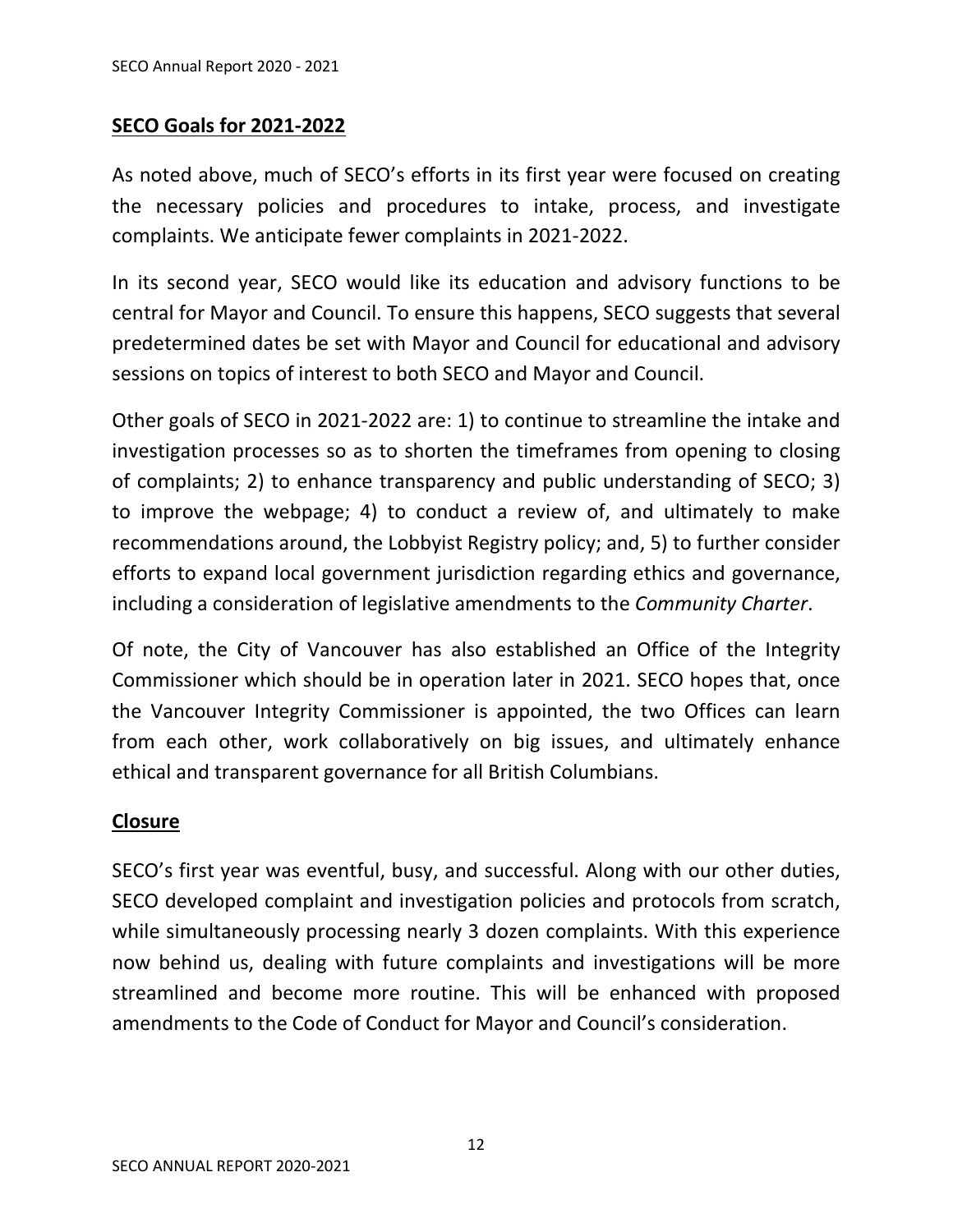#### <span id="page-11-0"></span>**SECO Goals for 2021-2022**

As noted above, much of SECO's efforts in its first year were focused on creating the necessary policies and procedures to intake, process, and investigate complaints. We anticipate fewer complaints in 2021-2022.

In its second year, SECO would like its education and advisory functions to be central for Mayor and Council. To ensure this happens, SECO suggests that several predetermined dates be set with Mayor and Council for educational and advisory sessions on topics of interest to both SECO and Mayor and Council.

Other goals of SECO in 2021-2022 are: 1) to continue to streamline the intake and investigation processes so as to shorten the timeframes from opening to closing of complaints; 2) to enhance transparency and public understanding of SECO; 3) to improve the webpage; 4) to conduct a review of, and ultimately to make recommendations around, the Lobbyist Registry policy; and, 5) to further consider efforts to expand local government jurisdiction regarding ethics and governance, including a consideration of legislative amendments to the *Community Charter*.

Of note, the City of Vancouver has also established an Office of the Integrity Commissioner which should be in operation later in 2021. SECO hopes that, once the Vancouver Integrity Commissioner is appointed, the two Offices can learn from each other, work collaboratively on big issues, and ultimately enhance ethical and transparent governance for all British Columbians.

#### <span id="page-11-1"></span>**Closure**

SECO's first year was eventful, busy, and successful. Along with our other duties, SECO developed complaint and investigation policies and protocols from scratch, while simultaneously processing nearly 3 dozen complaints. With this experience now behind us, dealing with future complaints and investigations will be more streamlined and become more routine. This will be enhanced with proposed amendments to the Code of Conduct for Mayor and Council's consideration.